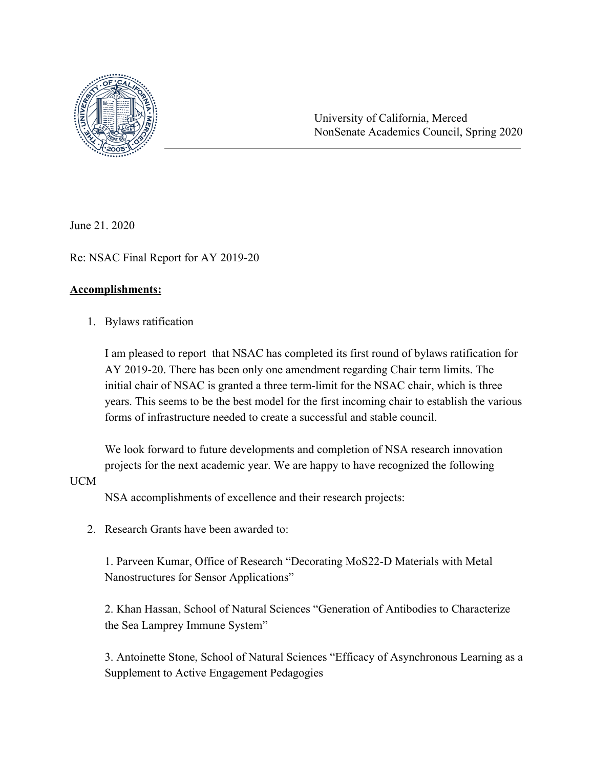

University of California, Merced NonSenate Academics Council, Spring 2020

June 21. 2020

Re: NSAC Final Report for AY 2019-20

#### **Accomplishments:**

1. Bylaws ratification

I am pleased to report that NSAC has completed its first round of bylaws ratification for AY 2019-20. There has been only one amendment regarding Chair term limits. The initial chair of NSAC is granted a three term-limit for the NSAC chair, which is three years. This seems to be the best model for the first incoming chair to establish the various forms of infrastructure needed to create a successful and stable council.

We look forward to future developments and completion of NSA research innovation projects for the next academic year. We are happy to have recognized the following

#### UCM

NSA accomplishments of excellence and their research projects:

2 Research Grants have been awarded to:

1. Parveen Kumar, Office of Research "Decorating MoS22-D Materials with Metal Nanostructures for Sensor Applications"

2. Khan Hassan, School of Natural Sciences "Generation of Antibodies to Characterize the Sea Lamprey Immune System"

3. Antoinette Stone, School of Natural Sciences "Efficacy of Asynchronous Learning as a Supplement to Active Engagement Pedagogies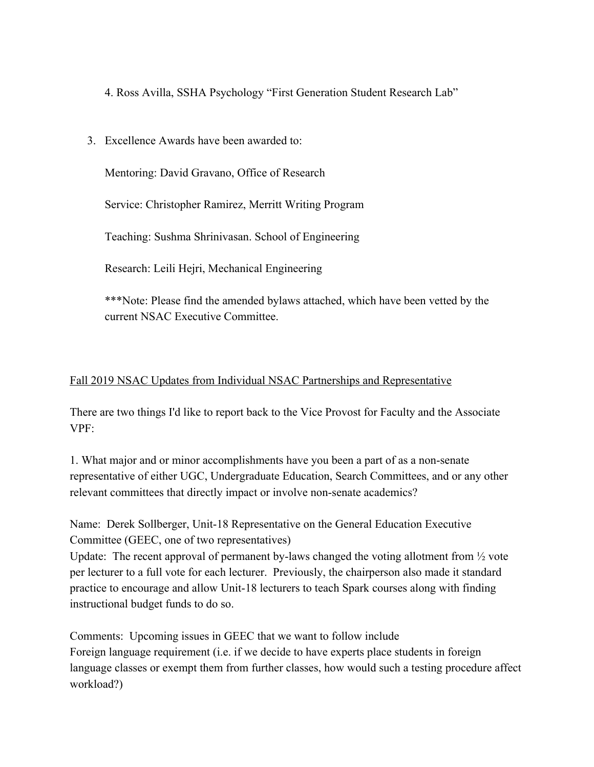4. Ross Avilla, SSHA Psychology "First Generation Student Research Lab"

3. Excellence Awards have been awarded to:

Mentoring: David Gravano, Office of Research

Service: Christopher Ramirez, Merritt Writing Program

Teaching: Sushma Shrinivasan. School of Engineering

Research: Leili Hejri, Mechanical Engineering

\*\*\*Note: Please find the amended bylaws attached, which have been vetted by the current NSAC Executive Committee.

## Fall 2019 NSAC Updates from Individual NSAC Partnerships and Representative

There are two things I'd like to report back to the Vice Provost for Faculty and the Associate VPF:

1. What major and or minor accomplishments have you been a part of as a non-senate representative of either UGC, Undergraduate Education, Search Committees, and or any other relevant committees that directly impact or involve non-senate academics?

Name: Derek Sollberger, Unit-18 Representative on the General Education Executive Committee (GEEC, one of two representatives)

Update: The recent approval of permanent by-laws changed the voting allotment from  $\frac{1}{2}$  vote per lecturer to a full vote for each lecturer. Previously, the chairperson also made it standard practice to encourage and allow Unit-18 lecturers to teach Spark courses along with finding instructional budget funds to do so.

Comments: Upcoming issues in GEEC that we want to follow include Foreign language requirement (i.e. if we decide to have experts place students in foreign language classes or exempt them from further classes, how would such a testing procedure affect workload?)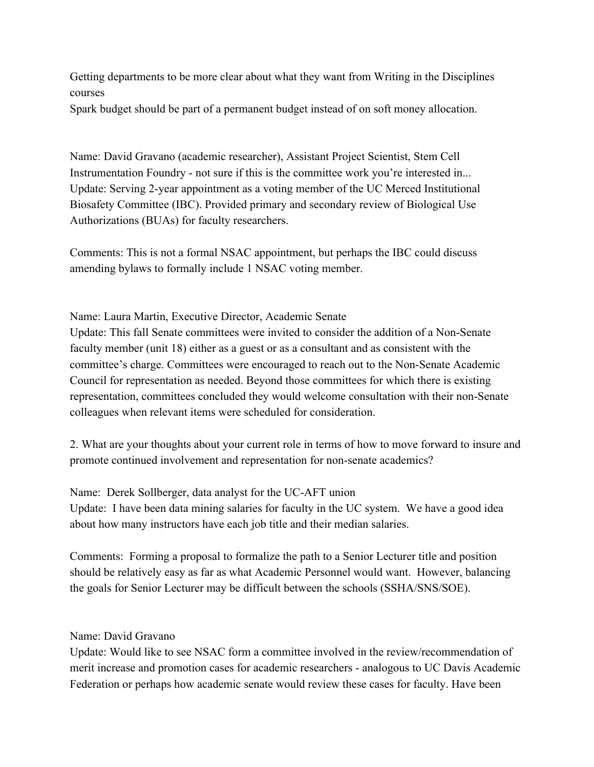Getting departments to be more clear about what they want from Writing in the Disciplines courses

Spark budget should be part of a permanent budget instead of on soft money allocation.

Name: David Gravano (academic researcher), Assistant Project Scientist, Stem Cell Instrumentation Foundry - not sure if this is the committee work you're interested in... Update: Serving 2-year appointment as a voting member of the UC Merced Institutional Biosafety Committee (IBC). Provided primary and secondary review of Biological Use Authorizations (BUAs) for faculty researchers.

Comments: This is not a formal NSAC appointment, but perhaps the IBC could discuss amending bylaws to formally include 1 NSAC voting member.

Name: Laura Martin, Executive Director, Academic Senate

Update: This fall Senate committees were invited to consider the addition of a Non-Senate faculty member (unit 18) either as a guest or as a consultant and as consistent with the committee's charge. Committees were encouraged to reach out to the Non-Senate Academic Council for representation as needed. Beyond those committees for which there is existing representation, committees concluded they would welcome consultation with their non-Senate colleagues when relevant items were scheduled for consideration.

2. What are your thoughts about your current role in terms of how to move forward to insure and promote continued involvement and representation for non-senate academics?

Name: Derek Sollberger, data analyst for the UC-AFT union Update: I have been data mining salaries for faculty in the UC system. We have a good idea about how many instructors have each job title and their median salaries.

Comments: Forming a proposal to formalize the path to a Senior Lecturer title and position should be relatively easy as far as what Academic Personnel would want. However, balancing the goals for Senior Lecturer may be difficult between the schools (SSHA/SNS/SOE).

Name: David Gravano

Update: Would like to see NSAC form a committee involved in the review/recommendation of merit increase and promotion cases for academic researchers - analogous to UC Davis Academic Federation or perhaps how academic senate would review these cases for faculty. Have been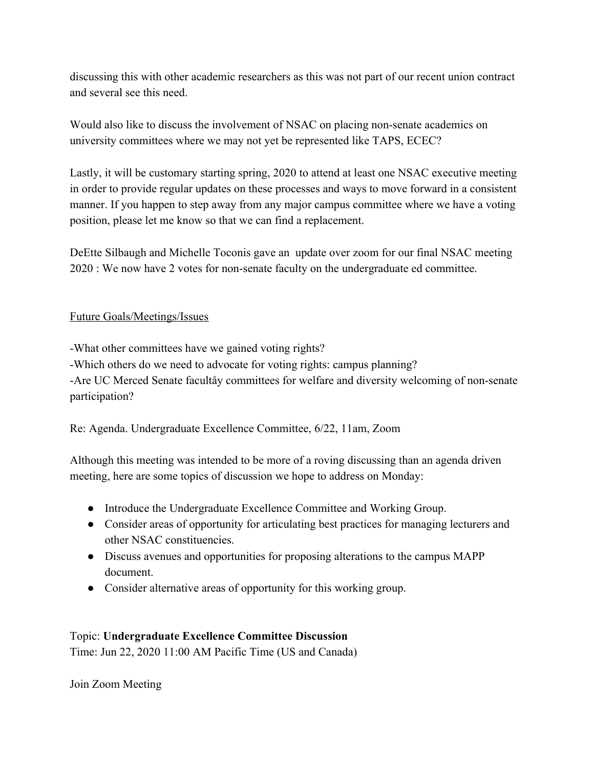discussing this with other academic researchers as this was not part of our recent union contract and several see this need.

Would also like to discuss the involvement of NSAC on placing non-senate academics on university committees where we may not yet be represented like TAPS, ECEC?

Lastly, it will be customary starting spring, 2020 to attend at least one NSAC executive meeting in order to provide regular updates on these processes and ways to move forward in a consistent manner. If you happen to step away from any major campus committee where we have a voting position, please let me know so that we can find a replacement.

DeEtte Silbaugh and Michelle Toconis gave an update over zoom for our final NSAC meeting 2020 : We now have 2 votes for non-senate faculty on the undergraduate ed committee.

## Future Goals/Meetings/Issues

-What other committees have we gained voting rights? -Which others do we need to advocate for voting rights: campus planning? -Are UC Merced Senate facultåy committees for welfare and diversity welcoming of non-senate participation?

Re: Agenda. Undergraduate Excellence Committee, 6/22, 11am, Zoom

Although this meeting was intended to be more of a roving discussing than an agenda driven meeting, here are some topics of discussion we hope to address on Monday:

- Introduce the Undergraduate Excellence Committee and Working Group.
- Consider areas of opportunity for articulating best practices for managing lecturers and other NSAC constituencies.
- Discuss avenues and opportunities for proposing alterations to the campus MAPP document.
- Consider alternative areas of opportunity for this working group.

# Topic: **Undergraduate Excellence Committee Discussion**

Time: Jun 22, 2020 11:00 AM Pacific Time (US and Canada)

Join Zoom Meeting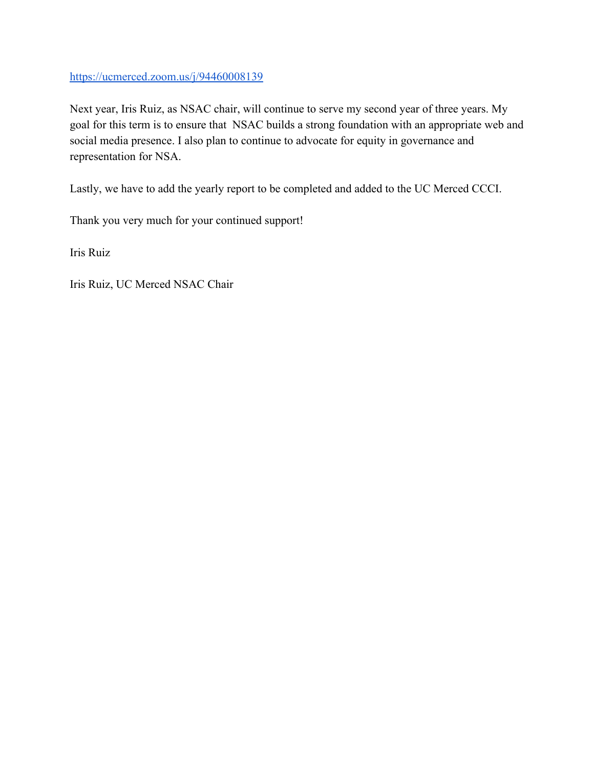## <https://ucmerced.zoom.us/j/94460008139>

Next year, Iris Ruiz, as NSAC chair, will continue to serve my second year of three years. My goal for this term is to ensure that NSAC builds a strong foundation with an appropriate web and social media presence. I also plan to continue to advocate for equity in governance and representation for NSA.

Lastly, we have to add the yearly report to be completed and added to the UC Merced CCCI.

Thank you very much for your continued support!

Iris Ruiz

Iris Ruiz, UC Merced NSAC Chair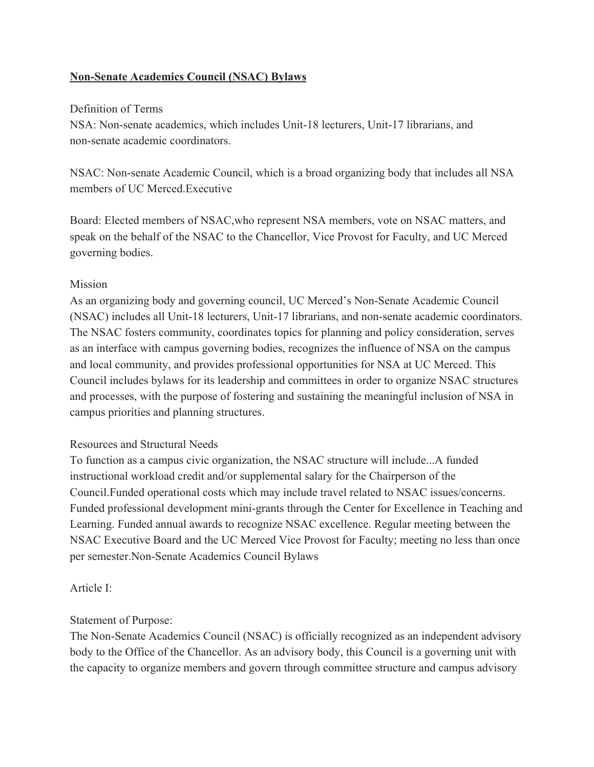## **Non-Senate Academics Council (NSAC) Bylaws**

#### Definition of Terms

NSA: Non-senate academics, which includes Unit-18 lecturers, Unit-17 librarians, and non-senate academic coordinators.

NSAC: Non-senate Academic Council, which is a broad organizing body that includes all NSA members of UC Merced.Executive

Board: Elected members of NSAC,who represent NSA members, vote on NSAC matters, and speak on the behalf of the NSAC to the Chancellor, Vice Provost for Faculty, and UC Merced governing bodies.

#### Mission

As an organizing body and governing council, UC Merced's Non-Senate Academic Council (NSAC) includes all Unit-18 lecturers, Unit-17 librarians, and non-senate academic coordinators. The NSAC fosters community, coordinates topics for planning and policy consideration, serves as an interface with campus governing bodies, recognizes the influence of NSA on the campus and local community, and provides professional opportunities for NSA at UC Merced. This Council includes bylaws for its leadership and committees in order to organize NSAC structures and processes, with the purpose of fostering and sustaining the meaningful inclusion of NSA in campus priorities and planning structures.

#### Resources and Structural Needs

To function as a campus civic organization, the NSAC structure will include...A funded instructional workload credit and/or supplemental salary for the Chairperson of the Council.Funded operational costs which may include travel related to NSAC issues/concerns. Funded professional development mini-grants through the Center for Excellence in Teaching and Learning. Funded annual awards to recognize NSAC excellence. Regular meeting between the NSAC Executive Board and the UC Merced Vice Provost for Faculty; meeting no less than once per semester.Non-Senate Academics Council Bylaws

#### Article I:

#### Statement of Purpose:

The Non-Senate Academics Council (NSAC) is officially recognized as an independent advisory body to the Office of the Chancellor. As an advisory body, this Council is a governing unit with the capacity to organize members and govern through committee structure and campus advisory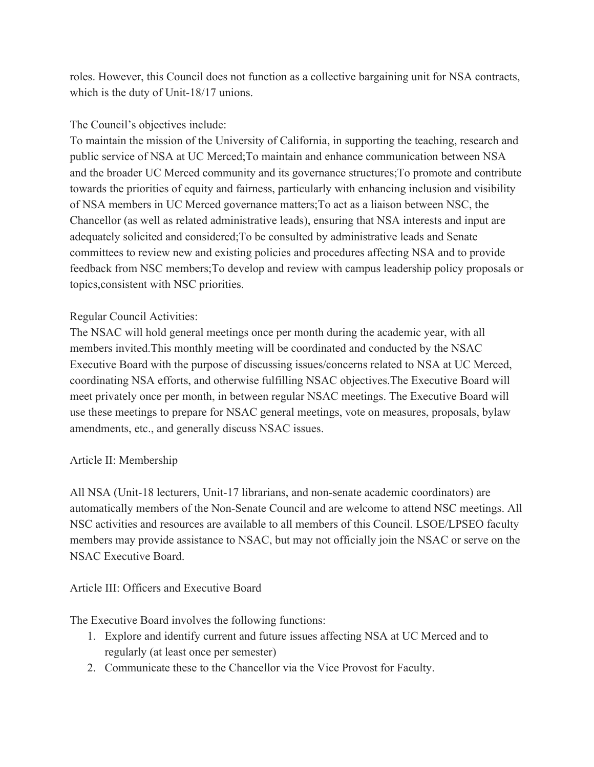roles. However, this Council does not function as a collective bargaining unit for NSA contracts, which is the duty of Unit-18/17 unions.

## The Council's objectives include:

To maintain the mission of the University of California, in supporting the teaching, research and public service of NSA at UC Merced;To maintain and enhance communication between NSA and the broader UC Merced community and its governance structures;To promote and contribute towards the priorities of equity and fairness, particularly with enhancing inclusion and visibility of NSA members in UC Merced governance matters;To act as a liaison between NSC, the Chancellor (as well as related administrative leads), ensuring that NSA interests and input are adequately solicited and considered;To be consulted by administrative leads and Senate committees to review new and existing policies and procedures affecting NSA and to provide feedback from NSC members;To develop and review with campus leadership policy proposals or topics,consistent with NSC priorities.

## Regular Council Activities:

The NSAC will hold general meetings once per month during the academic year, with all members invited.This monthly meeting will be coordinated and conducted by the NSAC Executive Board with the purpose of discussing issues/concerns related to NSA at UC Merced, coordinating NSA efforts, and otherwise fulfilling NSAC objectives.The Executive Board will meet privately once per month, in between regular NSAC meetings. The Executive Board will use these meetings to prepare for NSAC general meetings, vote on measures, proposals, bylaw amendments, etc., and generally discuss NSAC issues.

#### Article II: Membership

All NSA (Unit-18 lecturers, Unit-17 librarians, and non-senate academic coordinators) are automatically members of the Non-Senate Council and are welcome to attend NSC meetings. All NSC activities and resources are available to all members of this Council. LSOE/LPSEO faculty members may provide assistance to NSAC, but may not officially join the NSAC or serve on the NSAC Executive Board.

## Article III: Officers and Executive Board

The Executive Board involves the following functions:

- 1. Explore and identify current and future issues affecting NSA at UC Merced and to regularly (at least once per semester)
- 2. Communicate these to the Chancellor via the Vice Provost for Faculty.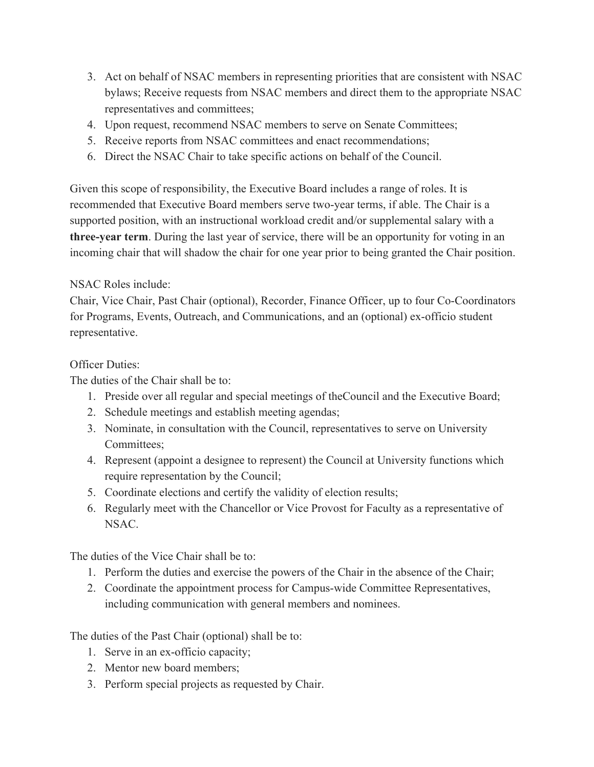- 3. Act on behalf of NSAC members in representing priorities that are consistent with NSAC bylaws; Receive requests from NSAC members and direct them to the appropriate NSAC representatives and committees;
- 4. Upon request, recommend NSAC members to serve on Senate Committees;
- 5. Receive reports from NSAC committees and enact recommendations;
- 6. Direct the NSAC Chair to take specific actions on behalf of the Council.

Given this scope of responsibility, the Executive Board includes a range of roles. It is recommended that Executive Board members serve two-year terms, if able. The Chair is a supported position, with an instructional workload credit and/or supplemental salary with a **three-year term**. During the last year of service, there will be an opportunity for voting in an incoming chair that will shadow the chair for one year prior to being granted the Chair position.

## NSAC Roles include:

Chair, Vice Chair, Past Chair (optional), Recorder, Finance Officer, up to four Co-Coordinators for Programs, Events, Outreach, and Communications, and an (optional) ex-officio student representative.

## Officer Duties:

The duties of the Chair shall be to:

- 1. Preside over all regular and special meetings of theCouncil and the Executive Board;
- 2. Schedule meetings and establish meeting agendas;
- 3. Nominate, in consultation with the Council, representatives to serve on University Committees;
- 4. Represent (appoint a designee to represent) the Council at University functions which require representation by the Council;
- 5. Coordinate elections and certify the validity of election results;
- 6. Regularly meet with the Chancellor or Vice Provost for Faculty as a representative of NSAC.

The duties of the Vice Chair shall be to:

- 1. Perform the duties and exercise the powers of the Chair in the absence of the Chair;
- 2. Coordinate the appointment process for Campus-wide Committee Representatives, including communication with general members and nominees.

The duties of the Past Chair (optional) shall be to:

- 1. Serve in an ex-officio capacity;
- 2. Mentor new board members;
- 3. Perform special projects as requested by Chair.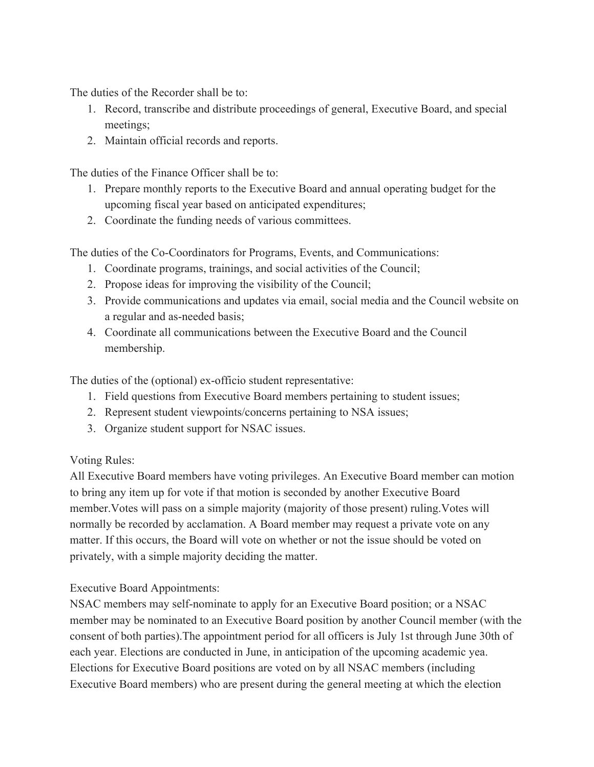The duties of the Recorder shall be to:

- 1. Record, transcribe and distribute proceedings of general, Executive Board, and special meetings;
- 2. Maintain official records and reports.

The duties of the Finance Officer shall be to:

- 1. Prepare monthly reports to the Executive Board and annual operating budget for the upcoming fiscal year based on anticipated expenditures;
- 2. Coordinate the funding needs of various committees.

The duties of the Co-Coordinators for Programs, Events, and Communications:

- 1. Coordinate programs, trainings, and social activities of the Council;
- 2. Propose ideas for improving the visibility of the Council;
- 3. Provide communications and updates via email, social media and the Council website on a regular and as-needed basis;
- 4. Coordinate all communications between the Executive Board and the Council membership.

The duties of the (optional) ex-officio student representative:

- 1. Field questions from Executive Board members pertaining to student issues;
- 2. Represent student viewpoints/concerns pertaining to NSA issues;
- 3. Organize student support for NSAC issues.

## Voting Rules:

All Executive Board members have voting privileges. An Executive Board member can motion to bring any item up for vote if that motion is seconded by another Executive Board member.Votes will pass on a simple majority (majority of those present) ruling.Votes will normally be recorded by acclamation. A Board member may request a private vote on any matter. If this occurs, the Board will vote on whether or not the issue should be voted on privately, with a simple majority deciding the matter.

Executive Board Appointments:

NSAC members may self-nominate to apply for an Executive Board position; or a NSAC member may be nominated to an Executive Board position by another Council member (with the consent of both parties).The appointment period for all officers is July 1st through June 30th of each year. Elections are conducted in June, in anticipation of the upcoming academic yea. Elections for Executive Board positions are voted on by all NSAC members (including Executive Board members) who are present during the general meeting at which the election